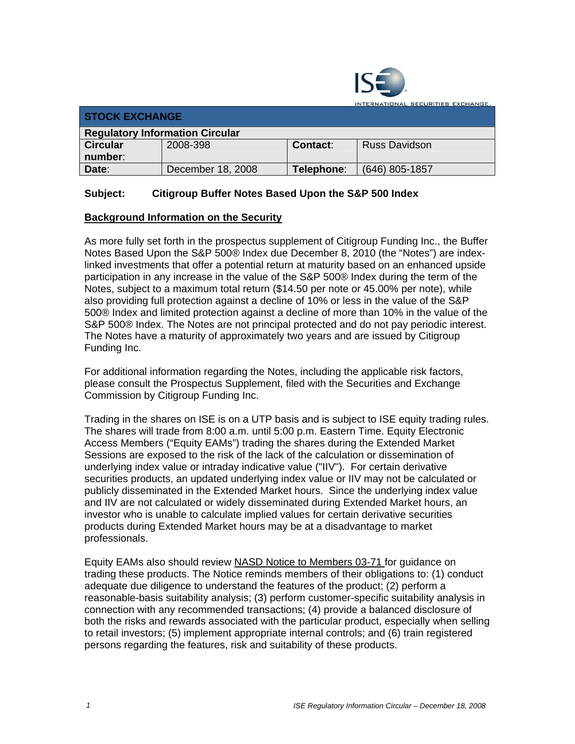

INTERNATIONAL SECURITIES EXCHANGE.

| <b>STOCK EXCHANGE</b>                  |                   |            |                      |
|----------------------------------------|-------------------|------------|----------------------|
| <b>Regulatory Information Circular</b> |                   |            |                      |
| <b>Circular</b>                        | 2008-398          | Contact:   | <b>Russ Davidson</b> |
| number:                                |                   |            |                      |
| Date:                                  | December 18, 2008 | Telephone: | (646) 805-1857       |

## **Subject: Citigroup Buffer Notes Based Upon the S&P 500 Index**

## **Background Information on the Security**

As more fully set forth in the prospectus supplement of Citigroup Funding Inc., the Buffer Notes Based Upon the S&P 500® Index due December 8, 2010 (the "Notes") are indexlinked investments that offer a potential return at maturity based on an enhanced upside participation in any increase in the value of the S&P 500® Index during the term of the Notes, subject to a maximum total return (\$14.50 per note or 45.00% per note), while also providing full protection against a decline of 10% or less in the value of the S&P 500® Index and limited protection against a decline of more than 10% in the value of the S&P 500® Index. The Notes are not principal protected and do not pay periodic interest. The Notes have a maturity of approximately two years and are issued by Citigroup Funding Inc.

For additional information regarding the Notes, including the applicable risk factors, please consult the Prospectus Supplement, filed with the Securities and Exchange Commission by Citigroup Funding Inc.

Trading in the shares on ISE is on a UTP basis and is subject to ISE equity trading rules. The shares will trade from 8:00 a.m. until 5:00 p.m. Eastern Time. Equity Electronic Access Members ("Equity EAMs") trading the shares during the Extended Market Sessions are exposed to the risk of the lack of the calculation or dissemination of underlying index value or intraday indicative value ("IIV"). For certain derivative securities products, an updated underlying index value or IIV may not be calculated or publicly disseminated in the Extended Market hours. Since the underlying index value and IIV are not calculated or widely disseminated during Extended Market hours, an investor who is unable to calculate implied values for certain derivative securities products during Extended Market hours may be at a disadvantage to market professionals.

Equity EAMs also should review NASD Notice to Members 03-71 for guidance on trading these products. The Notice reminds members of their obligations to: (1) conduct adequate due diligence to understand the features of the product; (2) perform a reasonable-basis suitability analysis; (3) perform customer-specific suitability analysis in connection with any recommended transactions; (4) provide a balanced disclosure of both the risks and rewards associated with the particular product, especially when selling to retail investors; (5) implement appropriate internal controls; and (6) train registered persons regarding the features, risk and suitability of these products.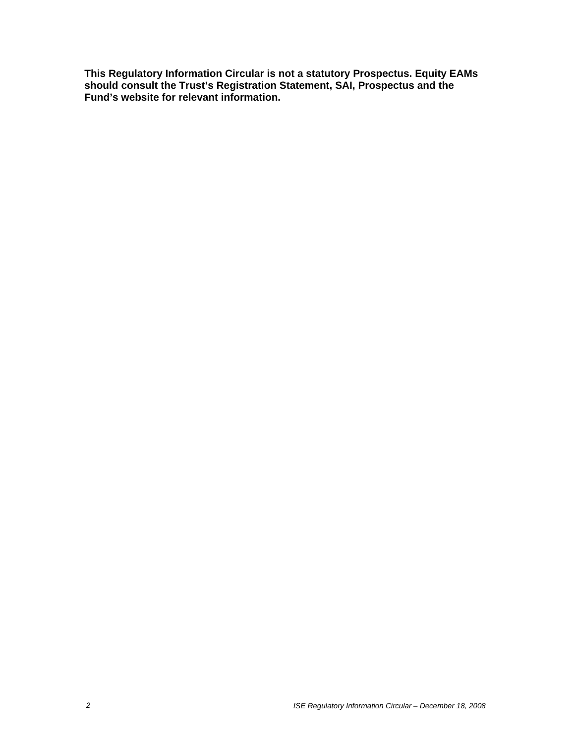**This Regulatory Information Circular is not a statutory Prospectus. Equity EAMs should consult the Trust's Registration Statement, SAI, Prospectus and the Fund's website for relevant information.**